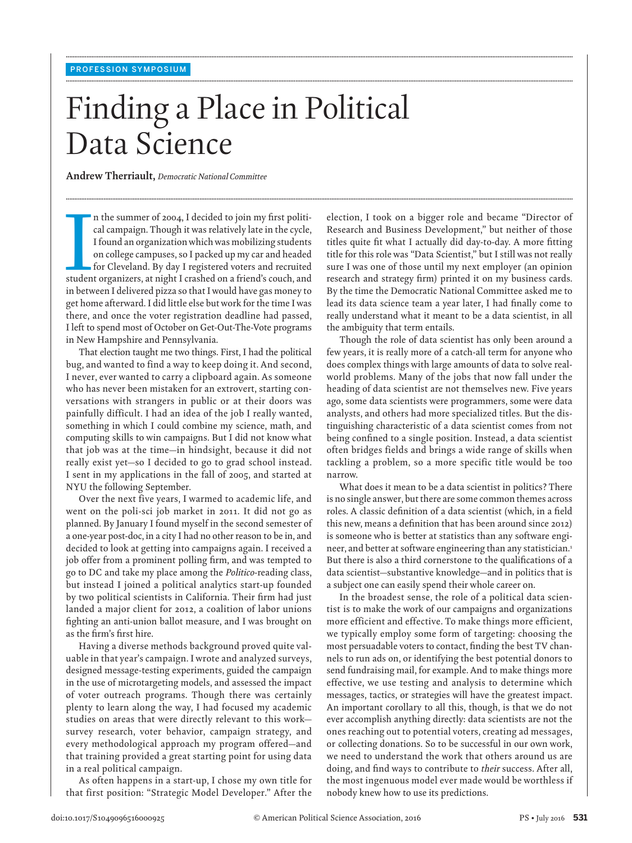# Finding a Place in Political Data Science

**........................................................................................................................................................................................................................................................................................................**

**........................................................................................................................................................................................................................................................................................................**

**........................................................................................................................................................................................................................................................................................................**

 **Andrew Therriault ,** *Democratic National Committee* 

n the summer of 2004, I decided to join my first political campaign. Though it was relatively late in the cycle,<br>I found an organization which was mobilizing students<br>on college campuses, so I packed up my car and headed<br>f n the summer of 2004, I decided to join my first political campaign. Though it was relatively late in the cycle, I found an organization which was mobilizing students on college campuses, so I packed up my car and headed for Cleveland. By day I registered voters and recruited in between I delivered pizza so that I would have gas money to get home afterward. I did little else but work for the time I was there, and once the voter registration deadline had passed, I left to spend most of October on Get-Out-The-Vote programs in New Hampshire and Pennsylvania.

 That election taught me two things. First, I had the political bug, and wanted to find a way to keep doing it. And second, I never, ever wanted to carry a clipboard again. As someone who has never been mistaken for an extrovert, starting conversations with strangers in public or at their doors was painfully difficult. I had an idea of the job I really wanted, something in which I could combine my science, math, and computing skills to win campaigns. But I did not know what that job was at the time—in hindsight, because it did not really exist yet—so I decided to go to grad school instead. I sent in my applications in the fall of 2005, and started at NYU the following September.

 Over the next five years, I warmed to academic life, and went on the poli-sci job market in 2011. It did not go as planned. By January I found myself in the second semester of a one-year post-doc, in a city I had no other reason to be in, and decided to look at getting into campaigns again. I received a job offer from a prominent polling firm, and was tempted to go to DC and take my place among the *Politico* -reading class, but instead I joined a political analytics start-up founded by two political scientists in California. Their firm had just landed a major client for 2012, a coalition of labor unions fighting an anti-union ballot measure, and I was brought on as the firm's first hire.

 Having a diverse methods background proved quite valuable in that year's campaign. I wrote and analyzed surveys, designed message-testing experiments, guided the campaign in the use of microtargeting models, and assessed the impact of voter outreach programs. Though there was certainly plenty to learn along the way, I had focused my academic studies on areas that were directly relevant to this work survey research, voter behavior, campaign strategy, and every methodological approach my program offered—and that training provided a great starting point for using data in a real political campaign.

 As often happens in a start-up, I chose my own title for that first position: "Strategic Model Developer." After the election, I took on a bigger role and became "Director of Research and Business Development," but neither of those titles quite fit what I actually did day-to-day. A more fitting title for this role was "Data Scientist," but I still was not really sure I was one of those until my next employer (an opinion research and strategy firm) printed it on my business cards. By the time the Democratic National Committee asked me to lead its data science team a year later, I had finally come to really understand what it meant to be a data scientist, in all the ambiguity that term entails.

 Though the role of data scientist has only been around a few years, it is really more of a catch-all term for anyone who does complex things with large amounts of data to solve realworld problems. Many of the jobs that now fall under the heading of data scientist are not themselves new. Five years ago, some data scientists were programmers, some were data analysts, and others had more specialized titles. But the distinguishing characteristic of a data scientist comes from not being confined to a single position. Instead, a data scientist often bridges fields and brings a wide range of skills when tackling a problem, so a more specific title would be too narrow.

 What does it mean to be a data scientist in politics? There is no single answer, but there are some common themes across roles. A classic definition of a data scientist (which, in a field this new, means a definition that has been around since 2012) is someone who is better at statistics than any software engineer, and better at software engineering than any statistician.<sup>1</sup> But there is also a third cornerstone to the qualifications of a data scientist—substantive knowledge—and in politics that is a subject one can easily spend their whole career on.

 In the broadest sense, the role of a political data scientist is to make the work of our campaigns and organizations more efficient and effective. To make things more efficient, we typically employ some form of targeting: choosing the most persuadable voters to contact, finding the best TV channels to run ads on, or identifying the best potential donors to send fundraising mail, for example. And to make things more effective, we use testing and analysis to determine which messages, tactics, or strategies will have the greatest impact. An important corollary to all this, though, is that we do not ever accomplish anything directly: data scientists are not the ones reaching out to potential voters, creating ad messages, or collecting donations. So to be successful in our own work, we need to understand the work that others around us are doing, and find ways to contribute to *their* success. After all, the most ingenuous model ever made would be worthless if nobody knew how to use its predictions.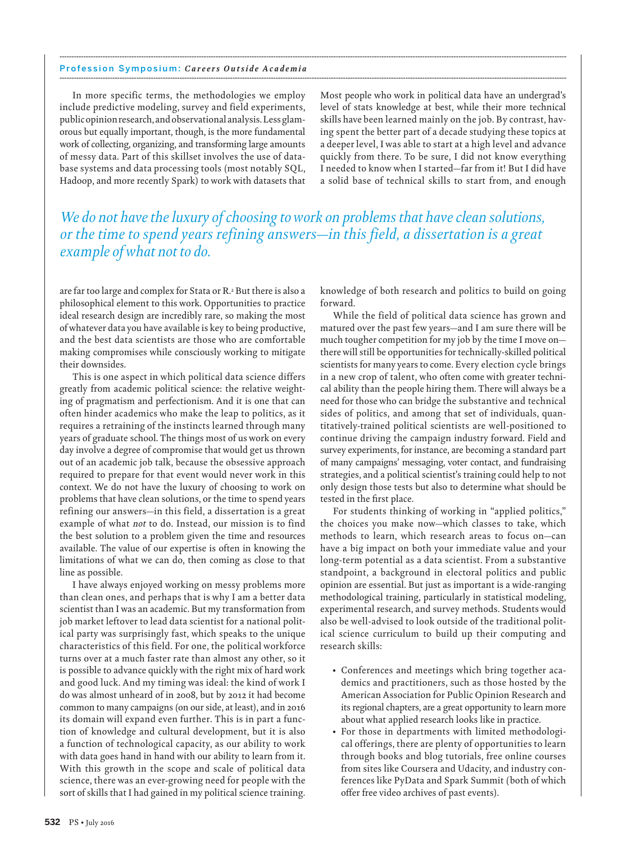#### Profession Symposium: *Careers Outside Academia* **........................................................................................................................................................................................................................................................................................................**

 In more specific terms, the methodologies we employ include predictive modeling, survey and field experiments, public opinion research, and observational analysis. Less glamorous but equally important, though, is the more fundamental work of collecting, organizing, and transforming large amounts of messy data. Part of this skillset involves the use of database systems and data processing tools (most notably SQL, Hadoop, and more recently Spark) to work with datasets that Most people who work in political data have an undergrad's level of stats knowledge at best, while their more technical skills have been learned mainly on the job. By contrast, having spent the better part of a decade studying these topics at a deeper level, I was able to start at a high level and advance quickly from there. To be sure, I did not know everything I needed to know when I started—far from it! But I did have a solid base of technical skills to start from, and enough

### *We do not have the luxury of choosing to work on problems that have clean solutions, or the time to spend years refining answers—in this field, a dissertation is a great example of what not to do.*

**........................................................................................................................................................................................................................................................................................................**

are far too large and complex for Stata or R.<sup>2</sup> But there is also a philosophical element to this work. Opportunities to practice ideal research design are incredibly rare, so making the most of whatever data you have available is key to being productive, and the best data scientists are those who are comfortable making compromises while consciously working to mitigate their downsides.

 This is one aspect in which political data science differs greatly from academic political science: the relative weighting of pragmatism and perfectionism. And it is one that can often hinder academics who make the leap to politics, as it requires a retraining of the instincts learned through many years of graduate school. The things most of us work on every day involve a degree of compromise that would get us thrown out of an academic job talk, because the obsessive approach required to prepare for that event would never work in this context. We do not have the luxury of choosing to work on problems that have clean solutions, or the time to spend years refining our answers—in this field, a dissertation is a great example of what *not* to do. Instead, our mission is to find the best solution to a problem given the time and resources available. The value of our expertise is often in knowing the limitations of what we can do, then coming as close to that line as possible.

 I have always enjoyed working on messy problems more than clean ones, and perhaps that is why I am a better data scientist than I was an academic. But my transformation from job market leftover to lead data scientist for a national political party was surprisingly fast, which speaks to the unique characteristics of this field. For one, the political workforce turns over at a much faster rate than almost any other, so it is possible to advance quickly with the right mix of hard work and good luck. And my timing was ideal: the kind of work I do was almost unheard of in 2008, but by 2012 it had become common to many campaigns (on our side, at least), and in 2016 its domain will expand even further. This is in part a function of knowledge and cultural development, but it is also a function of technological capacity, as our ability to work with data goes hand in hand with our ability to learn from it. With this growth in the scope and scale of political data science, there was an ever-growing need for people with the sort of skills that I had gained in my political science training.

knowledge of both research and politics to build on going forward.

 While the field of political data science has grown and matured over the past few years—and I am sure there will be much tougher competition for my job by the time I move on there will still be opportunities for technically-skilled political scientists for many years to come. Every election cycle brings in a new crop of talent, who often come with greater technical ability than the people hiring them. There will always be a need for those who can bridge the substantive and technical sides of politics, and among that set of individuals, quantitatively-trained political scientists are well-positioned to continue driving the campaign industry forward. Field and survey experiments, for instance, are becoming a standard part of many campaigns' messaging, voter contact, and fundraising strategies, and a political scientist's training could help to not only design those tests but also to determine what should be tested in the first place.

 For students thinking of working in "applied politics," the choices you make now—which classes to take, which methods to learn, which research areas to focus on—can have a big impact on both your immediate value and your long-term potential as a data scientist. From a substantive standpoint, a background in electoral politics and public opinion are essential. But just as important is a wide-ranging methodological training, particularly in statistical modeling, experimental research, and survey methods. Students would also be well-advised to look outside of the traditional political science curriculum to build up their computing and research skills:

- Conferences and meetings which bring together academics and practitioners, such as those hosted by the American Association for Public Opinion Research and its regional chapters, are a great opportunity to learn more about what applied research looks like in practice.
- For those in departments with limited methodological offerings, there are plenty of opportunities to learn through books and blog tutorials, free online courses from sites like Coursera and Udacity, and industry conferences like PyData and Spark Summit (both of which offer free video archives of past events).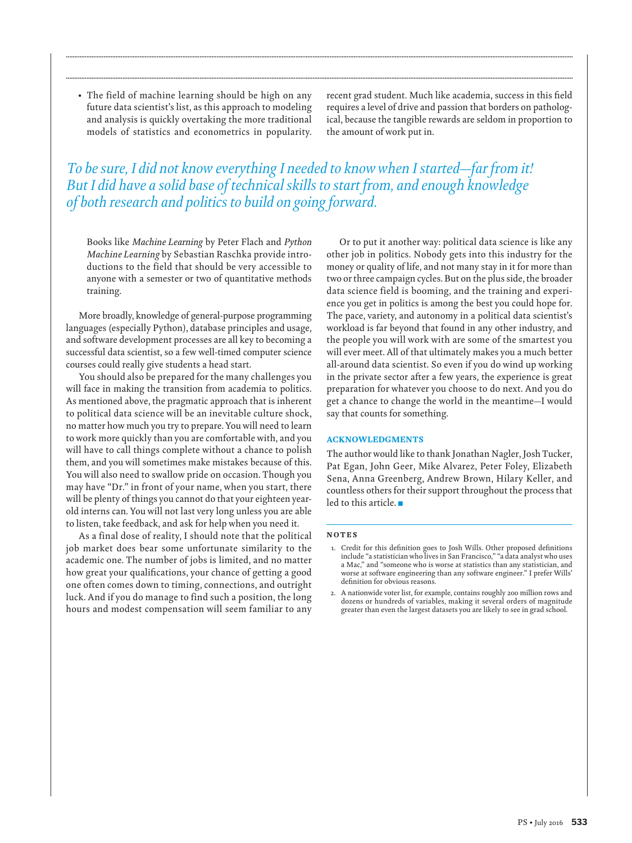• The field of machine learning should be high on any future data scientist's list, as this approach to modeling and analysis is quickly overtaking the more traditional models of statistics and econometrics in popularity. recent grad student. Much like academia, success in this field requires a level of drive and passion that borders on pathological, because the tangible rewards are seldom in proportion to the amount of work put in.

### *To be sure, I did not know everything I needed to know when I started—far from it! But I did have a solid base of technical skills to start from, and enough knowledge of both research and politics to build on going forward.*

**........................................................................................................................................................................................................................................................................................................**

**........................................................................................................................................................................................................................................................................................................**

Books like *Machine Learning* by Peter Flach and *Python Machine Learning* by Sebastian Raschka provide introductions to the field that should be very accessible to anyone with a semester or two of quantitative methods training.

 More broadly, knowledge of general-purpose programming languages (especially Python), database principles and usage, and software development processes are all key to becoming a successful data scientist, so a few well-timed computer science courses could really give students a head start.

 You should also be prepared for the many challenges you will face in making the transition from academia to politics. As mentioned above, the pragmatic approach that is inherent to political data science will be an inevitable culture shock, no matter how much you try to prepare. You will need to learn to work more quickly than you are comfortable with, and you will have to call things complete without a chance to polish them, and you will sometimes make mistakes because of this. You will also need to swallow pride on occasion. Though you may have "Dr." in front of your name, when you start, there will be plenty of things you cannot do that your eighteen yearold interns can. You will not last very long unless you are able to listen, take feedback, and ask for help when you need it.

 As a final dose of reality, I should note that the political job market does bear some unfortunate similarity to the academic one. The number of jobs is limited, and no matter how great your qualifications, your chance of getting a good one often comes down to timing, connections, and outright luck. And if you do manage to find such a position, the long hours and modest compensation will seem familiar to any

 Or to put it another way: political data science is like any other job in politics. Nobody gets into this industry for the money or quality of life, and not many stay in it for more than two or three campaign cycles. But on the plus side, the broader data science field is booming, and the training and experience you get in politics is among the best you could hope for. The pace, variety, and autonomy in a political data scientist's workload is far beyond that found in any other industry, and the people you will work with are some of the smartest you will ever meet. All of that ultimately makes you a much better all-around data scientist. So even if you do wind up working in the private sector after a few years, the experience is great preparation for whatever you choose to do next. And you do get a chance to change the world in the meantime—I would say that counts for something.

#### **ACKNOWLEDGMENTS**

 The author would like to thank Jonathan Nagler, Josh Tucker, Pat Egan, John Geer, Mike Alvarez, Peter Foley, Elizabeth Sena, Anna Greenberg, Andrew Brown, Hilary Keller, and countless others for their support throughout the process that led to this article.

#### **N O T E S**

- 1. Credit for this definition goes to Josh Wills. Other proposed definitions include "a statistician who lives in San Francisco," "a data analyst who uses a Mac," and "someone who is worse at statistics than any statistician, and worse at software engineering than any software engineer." I prefer Wills' definition for obvious reasons.
- 2. A nationwide voter list, for example, contains roughly 200 million rows and dozens or hundreds of variables, making it several orders of magnitude greater than even the largest datasets you are likely to see in grad school.